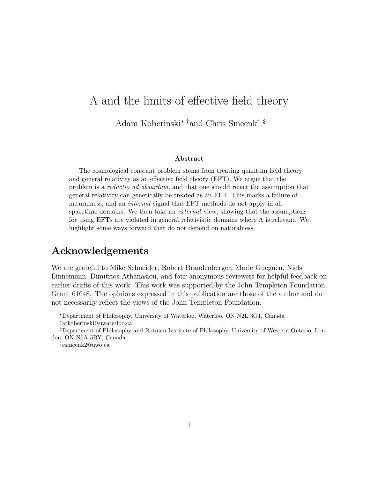# Λ and the limits of effective field theory Adam Koberinski\* $^\dagger$  and Chris Smeenk $^\ddagger$   $^\S$

#### Abstract

The cosmological constant problem stems from treating quantum field theory and general relativity as an effective field theory (EFT). We argue that the problem is a reductio ad absurdum, and that one should reject the assumption that general relativity can generically be treated as an EFT. This marks a failure of naturalness, and an *internal* signal that EFT methods do not apply in all spacetime domains. We then take an *external* view, showing that the assumptions for using EFTs are violated in general relativistic domains where  $\Lambda$  is relevant. We highlight some ways forward that do not depend on naturalness.

## Acknowledgements

We are grateful to Mike Schneider, Robert Brandenberger, Marie Gueguen, Niels Linnemann, Dimitrios Athanasiou, and four anonymous reviewers for helpful feedback on earlier drafts of this work. This work was supported by the John Templeton Foundation Grant 61048. The opinions expressed in this publication are those of the author and do not necessarily reflect the views of the John Templeton Foundation.

§ csmeenk2@uwo.ca

<sup>\*</sup>Department of Philosophy, University of Waterloo, Waterloo, ON N2L 3G1, Canada atkoberinski@uwaterloo.ca

Department of Philosophy and Rotman Institute of Philosophy, University of Western Ontario, London, ON N6A 5BY, Canada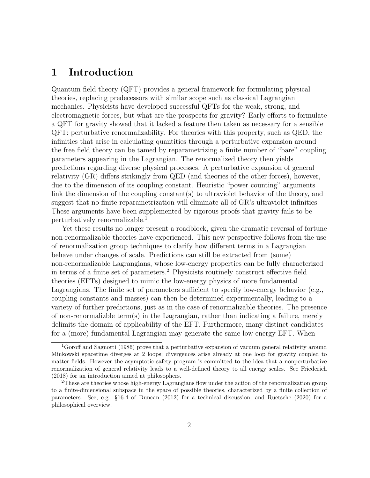## 1 Introduction

Quantum field theory (QFT) provides a general framework for formulating physical theories, replacing predecessors with similar scope such as classical Lagrangian mechanics. Physicists have developed successful QFTs for the weak, strong, and electromagnetic forces, but what are the prospects for gravity? Early efforts to formulate a QFT for gravity showed that it lacked a feature then taken as necessary for a sensible QFT: perturbative renormalizability. For theories with this property, such as QED, the infinities that arise in calculating quantities through a perturbative expansion around the free field theory can be tamed by reparametrizing a finite number of "bare" coupling parameters appearing in the Lagrangian. The renormalized theory then yields predictions regarding diverse physical processes. A perturbative expansion of general relativity (GR) differs strikingly from QED (and theories of the other forces), however, due to the dimension of its coupling constant. Heuristic "power counting" arguments link the dimension of the coupling constant(s) to ultraviolet behavior of the theory, and suggest that no finite reparametrization will eliminate all of GR's ultraviolet infinities. These arguments have been supplemented by rigorous proofs that gravity fails to be perturbatively renormalizable.<sup>1</sup>

Yet these results no longer present a roadblock, given the dramatic reversal of fortune non-renormalizable theories have experienced. This new perspective follows from the use of renormalization group techniques to clarify how different terms in a Lagrangian behave under changes of scale. Predictions can still be extracted from (some) non-renormalizable Lagrangians, whose low-energy properties can be fully characterized in terms of a finite set of parameters.<sup>2</sup> Physicists routinely construct effective field theories (EFTs) designed to mimic the low-energy physics of more fundamental Lagrangians. The finite set of parameters sufficient to specify low-energy behavior (e.g., coupling constants and masses) can then be determined experimentally, leading to a variety of further predictions, just as in the case of renormalizable theories. The presence of non-renormalizble term(s) in the Lagrangian, rather than indicating a failure, merely delimits the domain of applicability of the EFT. Furthermore, many distinct candidates for a (more) fundamental Lagrangian may generate the same low-energy EFT. When

<sup>&</sup>lt;sup>1</sup>Goroff and Sagnotti (1986) prove that a perturbative expansion of vacuum general relativity around Minkowski spacetime diverges at 2 loops; divergences arise already at one loop for gravity coupled to matter fields. However the asymptotic safety program is committed to the idea that a nonperturbative renormalization of general relativity leads to a well-defined theory to all energy scales. See Friederich (2018) for an introduction aimed at philosophers.

<sup>2</sup>These are theories whose high-energy Lagrangians flow under the action of the renormalization group to a finite-dimensional subspace in the space of possible theories, characterized by a finite collection of parameters. See, e.g., §16.4 of Duncan (2012) for a technical discussion, and Ruetsche (2020) for a philosophical overview.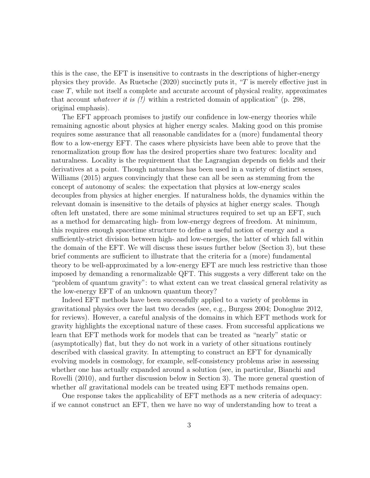this is the case, the EFT is insensitive to contrasts in the descriptions of higher-energy physics they provide. As Ruetsche (2020) succinctly puts it, "T is merely effective just in case T, while not itself a complete and accurate account of physical reality, approximates that account *whatever it is*  $(!)$  within a restricted domain of application" (p. 298, original emphasis).

The EFT approach promises to justify our confidence in low-energy theories while remaining agnostic about physics at higher energy scales. Making good on this promise requires some assurance that all reasonable candidates for a (more) fundamental theory flow to a low-energy EFT. The cases where physicists have been able to prove that the renormalization group flow has the desired properties share two features: locality and naturalness. Locality is the requirement that the Lagrangian depends on fields and their derivatives at a point. Though naturalness has been used in a variety of distinct senses, Williams (2015) argues convincingly that these can all be seen as stemming from the concept of autonomy of scales: the expectation that physics at low-energy scales decouples from physics at higher energies. If naturalness holds, the dynamics within the relevant domain is insensitive to the details of physics at higher energy scales. Though often left unstated, there are some minimal structures required to set up an EFT, such as a method for demarcating high- from low-energy degrees of freedom. At minimum, this requires enough spacetime structure to define a useful notion of energy and a sufficiently-strict division between high- and low-energies, the latter of which fall within the domain of the EFT. We will discuss these issues further below (Section 3), but these brief comments are sufficient to illustrate that the criteria for a (more) fundamental theory to be well-approximated by a low-energy EFT are much less restrictive than those imposed by demanding a renormalizable QFT. This suggests a very different take on the "problem of quantum gravity": to what extent can we treat classical general relativity as the low-energy EFT of an unknown quantum theory?

Indeed EFT methods have been successfully applied to a variety of problems in gravitational physics over the last two decades (see, e.g., Burgess 2004; Donoghue 2012, for reviews). However, a careful analysis of the domains in which EFT methods work for gravity highlights the exceptional nature of these cases. From successful applications we learn that EFT methods work for models that can be treated as "nearly" static or (asymptotically) flat, but they do not work in a variety of other situations routinely described with classical gravity. In attempting to construct an EFT for dynamically evolving models in cosmology, for example, self-consistency problems arise in assessing whether one has actually expanded around a solution (see, in particular, Bianchi and Rovelli (2010), and further discussion below in Section 3). The more general question of whether all gravitational models can be treated using EFT methods remains open.

One response takes the applicability of EFT methods as a new criteria of adequacy: if we cannot construct an EFT, then we have no way of understanding how to treat a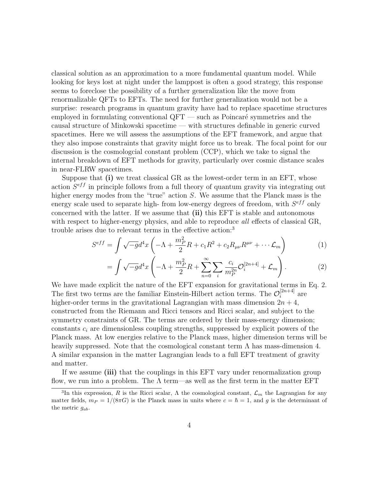classical solution as an approximation to a more fundamental quantum model. While looking for keys lost at night under the lamppost is often a good strategy, this response seems to foreclose the possibility of a further generalization like the move from renormalizable QFTs to EFTs. The need for further generalization would not be a surprise: research programs in quantum gravity have had to replace spacetime structures employed in formulating conventional  $QFT$  — such as Poincaré symmetries and the causal structure of Minkowski spacetime — with structures definable in generic curved spacetimes. Here we will assess the assumptions of the EFT framework, and argue that they also impose constraints that gravity might force us to break. The focal point for our discussion is the cosmologcial constant problem (CCP), which we take to signal the internal breakdown of EFT methods for gravity, particularly over cosmic distance scales in near-FLRW spacetimes.

Suppose that (i) we treat classical GR as the lowest-order term in an EFT, whose action  $S^{eff}$  in principle follows from a full theory of quantum gravity via integrating out higher energy modes from the "true" action S. We assume that the Planck mass is the energy scale used to separate high- from low-energy degrees of freedom, with  $S^{eff}$  only concerned with the latter. If we assume that (ii) this EFT is stable and autonomous with respect to higher-energy physics, and able to reproduce *all* effects of classical GR, trouble arises due to relevant terms in the effective action:<sup>3</sup>

$$
S^{eff} = \int \sqrt{-g}d^4x \left( -\Lambda + \frac{m_P^2}{2}R + c_1R^2 + c_2R_{\mu\nu}R^{\mu\nu} + \cdots \mathcal{L}_m \right) \tag{1}
$$

$$
= \int \sqrt{-g} d^4x \left( -\Lambda + \frac{m_P^2}{2} R + \sum_{n=0}^{\infty} \sum_i \frac{c_i}{m_P^{2n}} \mathcal{O}_i^{[2n+4]} + \mathcal{L}_m \right). \tag{2}
$$

We have made explicit the nature of the EFT expansion for gravitational terms in Eq. 2. The first two terms are the familiar Einstein-Hilbert action terms. The  $\mathcal{O}_i^{[2n+4]}$  $i^{[2n+4]}$  are higher-order terms in the gravitational Lagrangian with mass dimension  $2n + 4$ , constructed from the Riemann and Ricci tensors and Ricci scalar, and subject to the symmetry constraints of GR. The terms are ordered by their mass-energy dimension; constants  $c_i$  are dimensionless coupling strengths, suppressed by explicit powers of the Planck mass. At low energies relative to the Planck mass, higher dimension terms will be heavily suppressed. Note that the cosmological constant term  $\Lambda$  has mass-dimension 4. A similar expansion in the matter Lagrangian leads to a full EFT treatment of gravity and matter.

If we assume (iii) that the couplings in this EFT vary under renormalization group flow, we run into a problem. The  $\Lambda$  term—as well as the first term in the matter EFT

<sup>&</sup>lt;sup>3</sup>In this expression, R is the Ricci scalar,  $\Lambda$  the cosmological constant,  $\mathcal{L}_m$  the Lagrangian for any matter fields,  $m_P = 1/(8\pi G)$  is the Planck mass in units where  $c = \hbar = 1$ , and g is the determinant of the metric  $g_{ab}$ .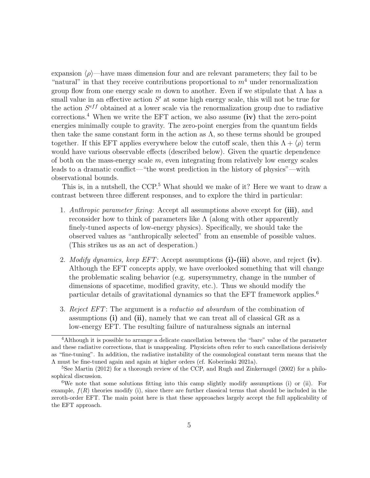expansion  $\langle \rho \rangle$ —have mass dimension four and are relevant parameters; they fail to be "natural" in that they receive contributions proportional to  $m<sup>4</sup>$  under renormalization group flow from one energy scale m down to another. Even if we stipulate that  $\Lambda$  has a small value in an effective action  $S'$  at some high energy scale, this will not be true for the action  $S^{eff}$  obtained at a lower scale via the renormalization group due to radiative corrections.<sup>4</sup> When we write the EFT action, we also assume  $(iv)$  that the zero-point energies minimally couple to gravity. The zero-point energies from the quantum fields then take the same constant form in the action as  $\Lambda$ , so these terms should be grouped together. If this EFT applies everywhere below the cutoff scale, then this  $\Lambda + \langle \rho \rangle$  term would have various observable effects (described below). Given the quartic dependence of both on the mass-energy scale  $m$ , even integrating from relatively low energy scales leads to a dramatic conflict—"the worst prediction in the history of physics"—with observational bounds.

This is, in a nutshell, the CCP.<sup>5</sup> What should we make of it? Here we want to draw a contrast between three different responses, and to explore the third in particular:

- 1. Anthropic parameter fixing: Accept all assumptions above except for (iii), and reconsider how to think of parameters like  $\Lambda$  (along with other apparently finely-tuned aspects of low-energy physics). Specifically, we should take the observed values as "anthropically selected" from an ensemble of possible values. (This strikes us as an act of desperation.)
- 2. Modify dynamics, keep EFT: Accept assumptions  $(i)$ - $(iii)$  above, and reject  $(iv)$ . Although the EFT concepts apply, we have overlooked something that will change the problematic scaling behavior (e.g. supersymmetry, change in the number of dimensions of spacetime, modified gravity, etc.). Thus we should modify the particular details of gravitational dynamics so that the EFT framework applies.<sup>6</sup>
- 3. Reject EFT: The argument is a reductio ad absurdum of the combination of assumptions (i) and (ii), namely that we can treat all of classical GR as a low-energy EFT. The resulting failure of naturalness signals an internal

<sup>4</sup>Although it is possible to arrange a delicate cancellation between the "bare" value of the parameter and these radiative corrections, that is unappealing. Physicists often refer to such cancellations derisively as "fine-tuning". In addition, the radiative instability of the cosmological constant term means that the Λ must be fine-tuned again and again at higher orders (cf. Koberinski 2021a).

<sup>&</sup>lt;sup>5</sup>See Martin (2012) for a thorough review of the CCP, and Rugh and Zinkernagel (2002) for a philosophical discussion.

<sup>6</sup>We note that some solutions fitting into this camp slightly modify assumptions (i) or (ii). For example,  $f(R)$  theories modify (i), since there are further classical terms that should be included in the zeroth-order EFT. The main point here is that these approaches largely accept the full applicability of the EFT approach.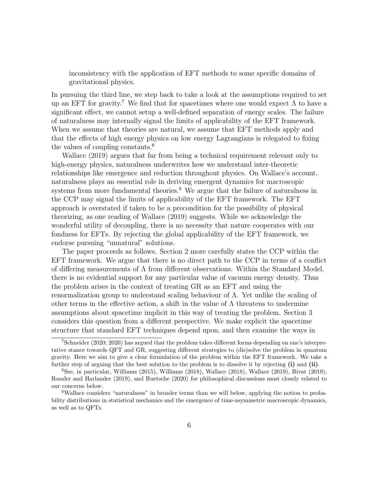inconsistency with the application of EFT methods to some specific domains of gravitational physics.

In pursuing the third line, we step back to take a look at the assumptions required to set up an EFT for gravity.<sup>7</sup> We find that for spacetimes where one would expect  $\Lambda$  to have a significant effect, we cannot setup a well-defined separation of energy scales. The failure of naturalness may internally signal the limits of applicability of the EFT framework. When we assume that theories are natural, we assume that EFT methods apply and that the effects of high energy physics on low energy Lagrangians is relegated to fixing the values of coupling constants.<sup>8</sup>

Wallace (2019) argues that far from being a technical requirement relevant only to high-energy physics, naturalness underwrites how we understand inter-theoretic relationships like emergence and reduction throughout physics. On Wallace's account, naturalness plays an essential role in deriving emergent dynamics for macroscopic systems from more fundamental theories.<sup>9</sup> We argue that the failure of naturalness in the CCP may signal the limits of applicability of the EFT framework. The EFT approach is overstated if taken to be a precondition for the possibility of physical theorizing, as one reading of Wallace (2019) suggests. While we acknowledge the wonderful utility of decoupling, there is no necessity that nature cooperates with our fondness for EFTs. By rejecting the global applicability of the EFT framework, we endorse pursuing "unnatural" solutions.

The paper proceeds as follows. Section 2 more carefully states the CCP within the EFT framework. We argue that there is no direct path to the CCP in terms of a conflict of differing measurements of Λ from different observations. Within the Standard Model, there is no evidential support for any particular value of vacuum energy density. Thus the problem arises in the context of treating GR as an EFT and using the renormalization group to understand scaling behaviour of Λ. Yet unlike the scaling of other terms in the effective action, a shift in the value of  $\Lambda$  threatens to undermine assumptions about spacetime implicit in this way of treating the problem. Section 3 considers this question from a different perspective. We make explicit the spacetime structure that standard EFT techniques depend upon, and then examine the ways in

<sup>7</sup>Schneider (2020; 2020) has argued that the problem takes different forms depending on one's interpretative stance towards QFT and GR, suggesting different strategies to (dis)solve the problem in quantum gravity. Here we aim to give a clear formulation of the problem within the EFT framework. We take a further step of arguing that the best solution to the problem is to dissolve it by rejecting (i) and (ii).

<sup>8</sup>See, in particular, Williams (2015), Williams (2018), Wallace (2018), Wallace (2019), Rivat (2019), Rosaler and Harlander (2019), and Ruetsche (2020) for philosophical discussions most closely related to our concerns below.

<sup>9</sup>Wallace considers "naturalness" in broader terms than we will below, applying the notion to probability distributions in statistical mechanics and the emergence of time-asymmetric macroscopic dynamics, as well as to QFTs.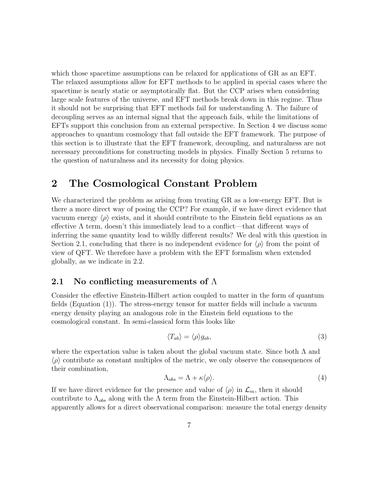which those spacetime assumptions can be relaxed for applications of GR as an EFT. The relaxed assumptions allow for EFT methods to be applied in special cases where the spacetime is nearly static or asymptotically flat. But the CCP arises when considering large scale features of the universe, and EFT methods break down in this regime. Thus it should not be surprising that EFT methods fail for understanding Λ. The failure of decoupling serves as an internal signal that the approach fails, while the limitations of EFTs support this conclusion from an external perspective. In Section 4 we discuss some approaches to quantum cosmology that fall outside the EFT framework. The purpose of this section is to illustrate that the EFT framework, decoupling, and naturalness are not necessary preconditions for constructing models in physics. Finally Section 5 returns to the question of naturalness and its necessity for doing physics.

## 2 The Cosmological Constant Problem

We characterized the problem as arising from treating GR as a low-energy EFT. But is there a more direct way of posing the CCP? For example, if we have direct evidence that vacuum energy  $\langle \rho \rangle$  exists, and it should contribute to the Einstein field equations as an effective  $\Lambda$  term, doesn't this immediately lead to a conflict—that different ways of inferring the same quantity lead to wildly different results? We deal with this question in Section 2.1, concluding that there is no independent evidence for  $\langle \rho \rangle$  from the point of view of QFT. We therefore have a problem with the EFT formalism when extended globally, as we indicate in 2.2.

#### 2.1 No conflicting measurements of  $\Lambda$

Consider the effective Einstein-Hilbert action coupled to matter in the form of quantum fields (Equation (1)). The stress-energy tensor for matter fields will include a vacuum energy density playing an analogous role in the Einstein field equations to the cosmological constant. In semi-classical form this looks like

$$
\langle T_{ab}\rangle = \langle \rho \rangle g_{ab},\tag{3}
$$

where the expectation value is taken about the global vacuum state. Since both  $\Lambda$  and  $\langle \rho \rangle$  contribute as constant multiples of the metric, we only observe the consequences of their combination,

$$
\Lambda_{obs} = \Lambda + \kappa \langle \rho \rangle. \tag{4}
$$

If we have direct evidence for the presence and value of  $\langle \rho \rangle$  in  $\mathcal{L}_m$ , then it should contribute to  $\Lambda_{obs}$  along with the  $\Lambda$  term from the Einstein-Hilbert action. This apparently allows for a direct observational comparison: measure the total energy density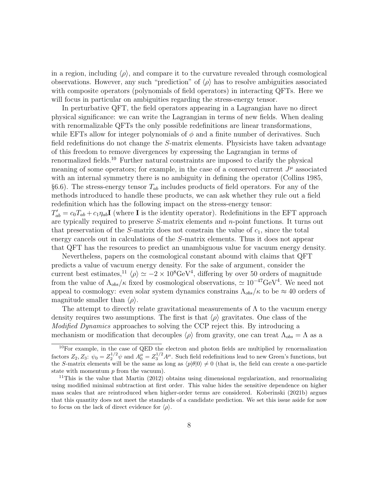in a region, including  $\langle \rho \rangle$ , and compare it to the curvature revealed through cosmological observations. However, any such "prediction" of  $\langle \rho \rangle$  has to resolve ambiguities associated with composite operators (polynomials of field operators) in interacting QFTs. Here we will focus in particular on ambiguities regarding the stress-energy tensor.

In perturbative QFT, the field operators appearing in a Lagrangian have no direct physical significance: we can write the Lagrangian in terms of new fields. When dealing with renormalizable QFTs the only possible redefinitions are linear transformations, while EFTs allow for integer polynomials of  $\phi$  and a finite number of derivatives. Such field redefinitions do not change the S-matrix elements. Physicists have taken advantage of this freedom to remove divergences by expressing the Lagrangian in terms of renormalized fields.<sup>10</sup> Further natural constraints are imposed to clarify the physical meaning of some operators; for example, in the case of a conserved current  $J^{\mu}$  associated with an internal symmetry there is no ambiguity in defining the operator (Collins 1985, §6.6). The stress-energy tensor  $T_{ab}$  includes products of field operators. For any of the methods introduced to handle these products, we can ask whether they rule out a field redefinition which has the following impact on the stress-energy tensor:  $T'_{ab} = c_0 T_{ab} + c_1 \eta_{ab}$ I (where I is the identity operator). Redefinitions in the EFT approach are typically required to preserve S-matrix elements and n-point functions. It turns out that preservation of the S-matrix does not constrain the value of  $c_1$ , since the total energy cancels out in calculations of the S-matrix elements. Thus it does not appear that QFT has the resources to predict an unambiguous value for vacuum energy density.

Nevertheless, papers on the cosmological constant abound with claims that QFT predicts a value of vacuum energy density. For the sake of argument, consider the current best estimates,<sup>11</sup>  $\langle \rho \rangle \simeq -2 \times 10^8 \text{GeV}^4$ , differing by over 50 orders of magnitude from the value of  $\Lambda_{obs}/\kappa$  fixed by cosmological observations,  $\simeq 10^{-47} \text{GeV}^4$ . We need not appeal to cosmology: even solar system dynamics constrains  $\Lambda_{obs}/\kappa$  to be  $\approx 40$  orders of magnitude smaller than  $\langle \rho \rangle$ .

The attempt to directly relate gravitational measurements of  $\Lambda$  to the vacuum energy density requires two assumptions. The first is that  $\langle \rho \rangle$  gravitates. One class of the Modified Dynamics approaches to solving the CCP reject this. By introducing a mechanism or modification that decouples  $\langle \rho \rangle$  from gravity, one can treat  $\Lambda_{obs} = \Lambda$  as a

<sup>&</sup>lt;sup>10</sup>For example, in the case of QED the electron and photon fields are multiplied by renormalization factors  $Z_2, Z_3$ :  $\psi_0 = Z_2^{1/2} \psi$  and  $A_0^{\mu} = Z_3^{1/2} A^{\mu}$ . Such field redefinitions lead to new Green's functions, but the S-matrix elements will be the same as long as  $\langle p|\theta|0\rangle \neq 0$  (that is, the field can create a one-particle state with momentum  $p$  from the vacuum).

<sup>&</sup>lt;sup>11</sup>This is the value that Martin (2012) obtains using dimensional regularization, and renormalizing using modified minimal subtraction at first order. This value hides the sensitive dependence on higher mass scales that are reintroduced when higher-order terms are considered. Koberinski (2021b) argues that this quantity does not meet the standards of a candidate prediction. We set this issue aside for now to focus on the lack of direct evidence for  $\langle \rho \rangle$ .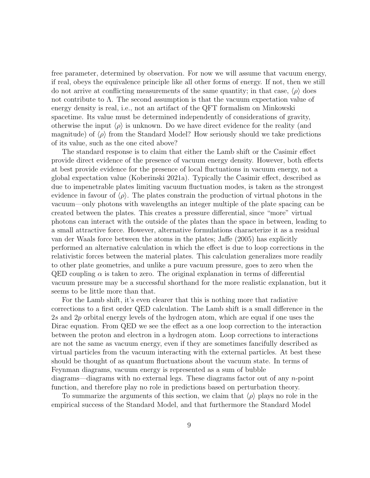free parameter, determined by observation. For now we will assume that vacuum energy, if real, obeys the equivalence principle like all other forms of energy. If not, then we still do not arrive at conflicting measurements of the same quantity; in that case,  $\langle \rho \rangle$  does not contribute to  $\Lambda$ . The second assumption is that the vacuum expectation value of energy density is real, i.e., not an artifact of the QFT formalism on Minkowski spacetime. Its value must be determined independently of considerations of gravity, otherwise the input  $\langle \rho \rangle$  is unknown. Do we have direct evidence for the reality (and magnitude) of  $\langle \rho \rangle$  from the Standard Model? How seriously should we take predictions of its value, such as the one cited above?

The standard response is to claim that either the Lamb shift or the Casimir effect provide direct evidence of the presence of vacuum energy density. However, both effects at best provide evidence for the presence of local fluctuations in vacuum energy, not a global expectation value (Koberinski 2021a). Typically the Casimir effect, described as due to impenetrable plates limiting vacuum fluctuation modes, is taken as the strongest evidence in favour of  $\langle \rho \rangle$ . The plates constrain the production of virtual photons in the vacuum—only photons with wavelengths an integer multiple of the plate spacing can be created between the plates. This creates a pressure differential, since "more" virtual photons can interact with the outside of the plates than the space in between, leading to a small attractive force. However, alternative formulations characterize it as a residual van der Waals force between the atoms in the plates; Jaffe (2005) has explicitly performed an alternative calculation in which the effect is due to loop corrections in the relativistic forces between the material plates. This calculation generalizes more readily to other plate geometries, and unlike a pure vacuum pressure, goes to zero when the QED coupling  $\alpha$  is taken to zero. The original explanation in terms of differential vacuum pressure may be a successful shorthand for the more realistic explanation, but it seems to be little more than that.

For the Lamb shift, it's even clearer that this is nothing more that radiative corrections to a first order QED calculation. The Lamb shift is a small difference in the 2s and 2p orbital energy levels of the hydrogen atom, which are equal if one uses the Dirac equation. From QED we see the effect as a one loop correction to the interaction between the proton and electron in a hydrogen atom. Loop corrections to interactions are not the same as vacuum energy, even if they are sometimes fancifully described as virtual particles from the vacuum interacting with the external particles. At best these should be thought of as quantum fluctuations about the vacuum state. In terms of Feynman diagrams, vacuum energy is represented as a sum of bubble diagrams—diagrams with no external legs. These diagrams factor out of any n-point function, and therefore play no role in predictions based on perturbation theory.

To summarize the arguments of this section, we claim that  $\langle \rho \rangle$  plays no role in the empirical success of the Standard Model, and that furthermore the Standard Model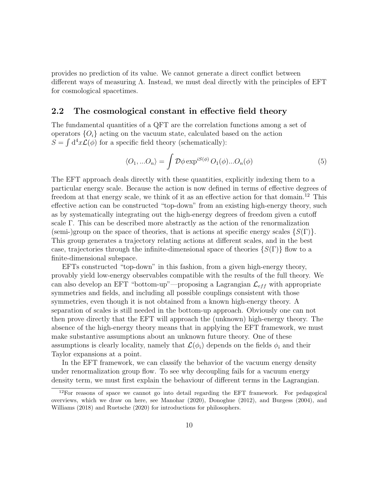provides no prediction of its value. We cannot generate a direct conflict between different ways of measuring  $\Lambda$ . Instead, we must deal directly with the principles of EFT for cosmological spacetimes.

#### 2.2 The cosmological constant in effective field theory

The fundamental quantities of a QFT are the correlation functions among a set of operators  ${O_i}$  acting on the vacuum state, calculated based on the action  $S = \int d^4x \mathcal{L}(\phi)$  for a specific field theory (schematically):

$$
\langle O_1,...O_n \rangle = \int \mathcal{D}\phi \exp^{iS(\phi)} O_1(\phi)...O_n(\phi)
$$
 (5)

The EFT approach deals directly with these quantities, explicitly indexing them to a particular energy scale. Because the action is now defined in terms of effective degrees of freedom at that energy scale, we think of it as an effective action for that domain.<sup>12</sup> This effective action can be constructed "top-down" from an existing high-energy theory, such as by systematically integrating out the high-energy degrees of freedom given a cutoff scale Γ. This can be described more abstractly as the action of the renormalization (semi-)group on the space of theories, that is actions at specific energy scales  $\{S(\Gamma)\}.$ This group generates a trajectory relating actions at different scales, and in the best case, trajectories through the infinite-dimensional space of theories  $\{S(\Gamma)\}\$  flow to a finite-dimensional subspace.

EFTs constructed "top-down" in this fashion, from a given high-energy theory, provably yield low-energy observables compatible with the results of the full theory. We can also develop an EFT "bottom-up"—proposing a Lagrangian  $\mathcal{L}_{eff}$  with appropriate symmetries and fields, and including all possible couplings consistent with those symmetries, even though it is not obtained from a known high-energy theory. A separation of scales is still needed in the bottom-up approach. Obviously one can not then prove directly that the EFT will approach the (unknown) high-energy theory. The absence of the high-energy theory means that in applying the EFT framework, we must make substantive assumptions about an unknown future theory. One of these assumptions is clearly locality, namely that  $\mathcal{L}(\phi_i)$  depends on the fields  $\phi_i$  and their Taylor expansions at a point.

In the EFT framework, we can classify the behavior of the vacuum energy density under renormalization group flow. To see why decoupling fails for a vacuum energy density term, we must first explain the behaviour of different terms in the Lagrangian.

 $12$ For reasons of space we cannot go into detail regarding the EFT framework. For pedagogical overviews, which we draw on here, see Manohar (2020), Donoghue (2012), and Burgess (2004), and Williams (2018) and Ruetsche (2020) for introductions for philosophers.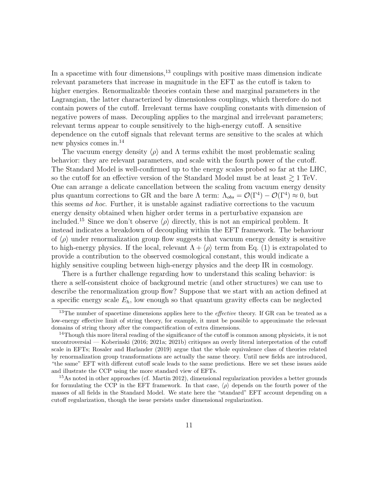In a spacetime with four dimensions, $13$  couplings with positive mass dimension indicate relevant parameters that increase in magnitude in the EFT as the cutoff is taken to higher energies. Renormalizable theories contain these and marginal parameters in the Lagrangian, the latter characterized by dimensionless couplings, which therefore do not contain powers of the cutoff. Irrelevant terms have coupling constants with dimension of negative powers of mass. Decoupling applies to the marginal and irrelevant parameters; relevant terms appear to couple sensitively to the high-energy cutoff. A sensitive dependence on the cutoff signals that relevant terms are sensitive to the scales at which new physics comes in.<sup>14</sup>

The vacuum energy density  $\langle \rho \rangle$  and  $\Lambda$  terms exhibit the most problematic scaling behavior: they are relevant parameters, and scale with the fourth power of the cutoff. The Standard Model is well-confirmed up to the energy scales probed so far at the LHC, so the cutoff for an effective version of the Standard Model must be at least  $\gtrsim 1$  TeV. One can arrange a delicate cancellation between the scaling from vacuum energy density plus quantum corrections to GR and the bare  $\Lambda$  term:  $\Lambda_{obs} = \mathcal{O}(\Gamma^4) - \mathcal{O}(\Gamma^4) \approx 0$ , but this seems ad hoc. Further, it is unstable against radiative corrections to the vacuum energy density obtained when higher order terms in a perturbative expansion are included.<sup>15</sup> Since we don't observe  $\langle \rho \rangle$  directly, this is not an empirical problem. It instead indicates a breakdown of decoupling within the EFT framework. The behaviour of  $\langle \rho \rangle$  under renormalization group flow suggests that vacuum energy density is sensitive to high-energy physics. If the local, relevant  $\Lambda + \langle \rho \rangle$  term from Eq. (1) is extrapolated to provide a contribution to the observed cosmological constant, this would indicate a highly sensitive coupling between high-energy physics and the deep IR in cosmology.

There is a further challenge regarding how to understand this scaling behavior: is there a self-consistent choice of background metric (and other structures) we can use to describe the renormalization group flow? Suppose that we start with an action defined at a specific energy scale  $E_h$ , low enough so that quantum gravity effects can be neglected

 $13$ The number of spacetime dimensions applies here to the *effective* theory. If GR can be treated as a low-energy effective limit of string theory, for example, it must be possible to approximate the relevant domains of string theory after the compactification of extra dimensions.

 $14$ Though this more literal reading of the significance of the cutoff is common among physicists, it is not uncontroversial — Koberinski (2016; 2021a; 2021b) critiques an overly literal interpretation of the cutoff scale in EFTs; Rosaler and Harlander (2019) argue that the whole equivalence class of theories related by renormalization group transformations are actually the same theory. Until new fields are introduced, "the same" EFT with different cutoff scale leads to the same predictions. Here we set these issues aside and illustrate the CCP using the more standard view of EFTs.

<sup>&</sup>lt;sup>15</sup>As noted in other approaches (cf. Martin 2012), dimensional regularization provides a better grounds for formulating the CCP in the EFT framework. In that case,  $\langle \rho \rangle$  depends on the fourth power of the masses of all fields in the Standard Model. We state here the "standard" EFT account depending on a cutoff regularization, though the issue persists under dimensional regularization.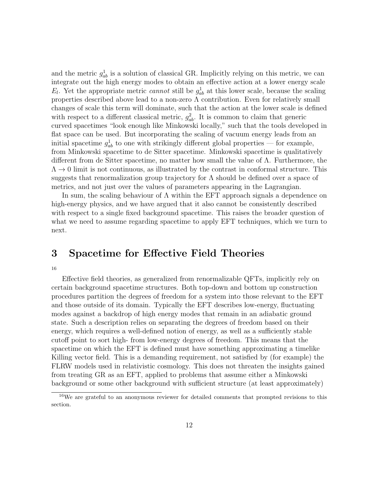and the metric  $g_{ab}^1$  is a solution of classical GR. Implicitly relying on this metric, we can integrate out the high energy modes to obtain an effective action at a lower energy scale  $E_l$ . Yet the appropriate metric *cannot* still be  $g_{ab}^1$  at this lower scale, because the scaling properties described above lead to a non-zero  $\Lambda$  contribution. Even for relatively small changes of scale this term will dominate, such that the action at the lower scale is defined with respect to a different classical metric,  $g_{ab}^2$ . It is common to claim that generic curved spacetimes "look enough like Minkowski locally," such that the tools developed in flat space can be used. But incorporating the scaling of vacuum energy leads from an initial spacetime  $g_{ab}^1$  to one with strikingly different global properties — for example, from Minkowski spacetime to de Sitter spacetime. Minkowski spacetime is qualitatively different from de Sitter spacetime, no matter how small the value of Λ. Furthermore, the  $\Lambda \rightarrow 0$  limit is not continuous, as illustrated by the contrast in conformal structure. This suggests that renormalization group trajectory for  $\Lambda$  should be defined over a space of metrics, and not just over the values of parameters appearing in the Lagrangian.

In sum, the scaling behaviour of  $\Lambda$  within the EFT approach signals a dependence on high-energy physics, and we have argued that it also cannot be consistently described with respect to a single fixed background spacetime. This raises the broader question of what we need to assume regarding spacetime to apply EFT techniques, which we turn to next.

### 3 Spacetime for Effective Field Theories

16

Effective field theories, as generalized from renormalizable QFTs, implicitly rely on certain background spacetime structures. Both top-down and bottom up construction procedures partition the degrees of freedom for a system into those relevant to the EFT and those outside of its domain. Typically the EFT describes low-energy, fluctuating modes against a backdrop of high energy modes that remain in an adiabatic ground state. Such a description relies on separating the degrees of freedom based on their energy, which requires a well-defined notion of energy, as well as a sufficiently stable cutoff point to sort high- from low-energy degrees of freedom. This means that the spacetime on which the EFT is defined must have something approximating a timelike Killing vector field. This is a demanding requirement, not satisfied by (for example) the FLRW models used in relativistic cosmology. This does not threaten the insights gained from treating GR as an EFT, applied to problems that assume either a Minkowski background or some other background with sufficient structure (at least approximately)

<sup>16</sup>We are grateful to an anonymous reviewer for detailed comments that prompted revisions to this section.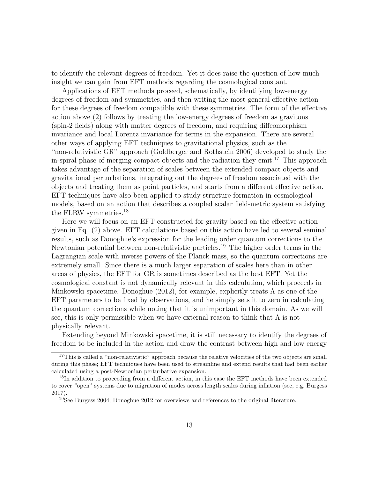to identify the relevant degrees of freedom. Yet it does raise the question of how much insight we can gain from EFT methods regarding the cosmological constant.

Applications of EFT methods proceed, schematically, by identifying low-energy degrees of freedom and symmetries, and then writing the most general effective action for these degrees of freedom compatible with these symmetries. The form of the effective action above (2) follows by treating the low-energy degrees of freedom as gravitons (spin-2 fields) along with matter degrees of freedom, and requiring diffeomorphism invariance and local Lorentz invariance for terms in the expansion. There are several other ways of applying EFT techniques to gravitational physics, such as the "non-relativistic GR" approach (Goldberger and Rothstein 2006) developed to study the in-spiral phase of merging compact objects and the radiation they emit.<sup>17</sup> This approach takes advantage of the separation of scales between the extended compact objects and gravitational perturbations, integrating out the degrees of freedom associated with the objects and treating them as point particles, and starts from a different effective action. EFT techniques have also been applied to study structure formation in cosmological models, based on an action that describes a coupled scalar field-metric system satisfying the FLRW symmetries.<sup>18</sup>

Here we will focus on an EFT constructed for gravity based on the effective action given in Eq. (2) above. EFT calculations based on this action have led to several seminal results, such as Donoghue's expression for the leading order quantum corrections to the Newtonian potential between non-relativistic particles.<sup>19</sup> The higher order terms in the Lagrangian scale with inverse powers of the Planck mass, so the quantum corrections are extremely small. Since there is a much larger separation of scales here than in other areas of physics, the EFT for GR is sometimes described as the best EFT. Yet the cosmological constant is not dynamically relevant in this calculation, which proceeds in Minkowski spacetime. Donoghue (2012), for example, explicitly treats  $\Lambda$  as one of the EFT parameters to be fixed by observations, and he simply sets it to zero in calculating the quantum corrections while noting that it is unimportant in this domain. As we will see, this is only permissible when we have external reason to think that  $\Lambda$  is not physically relevant.

Extending beyond Minkowski spacetime, it is still necessary to identify the degrees of freedom to be included in the action and draw the contrast between high and low energy

<sup>&</sup>lt;sup>17</sup>This is called a "non-relativistic" approach because the relative velocities of the two objects are small during this phase; EFT techniques have been used to streamline and extend results that had been earlier calculated using a post-Newtonian perturbative expansion.

<sup>&</sup>lt;sup>18</sup>In addition to proceeding from a different action, in this case the EFT methods have been extended to cover "open" systems due to migration of modes across length scales during inflation (see, e.g. Burgess 2017).

<sup>19</sup>See Burgess 2004; Donoghue 2012 for overviews and references to the original literature.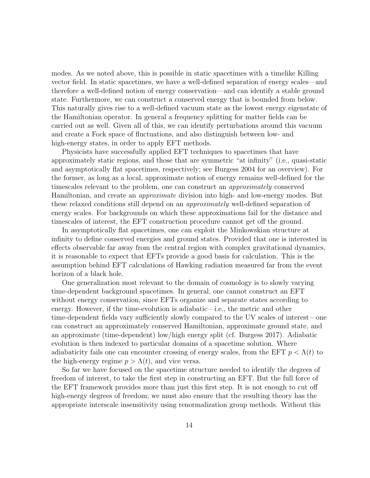modes. As we noted above, this is possible in static spacetimes with a timelike Killing vector field. In static spacetimes, we have a well-defined separation of energy scales—and therefore a well-defined notion of energy conservation—and can identify a stable ground state. Furthermore, we can construct a conserved energy that is bounded from below. This naturally gives rise to a well-defined vacuum state as the lowest energy eigenstate of the Hamiltonian operator. In general a frequency splitting for matter fields can be carried out as well. Given all of this, we can identify perturbations around this vacuum and create a Fock space of fluctuations, and also distinguish between low- and high-energy states, in order to apply EFT methods.

Physicists have successfully applied EFT techniques to spacetimes that have approximately static regions, and those that are symmetric "at infinity" (i.e., quasi-static and asymptotically flat spacetimes, respectively; see Burgess 2004 for an overview). For the former, as long as a local, approximate notion of energy remains well-defined for the timescales relevant to the problem, one can construct an approximately conserved Hamiltonian, and create an approximate division into high- and low-energy modes. But these relaxed conditions still depend on an approximately well-defined separation of energy scales. For backgrounds on which these approximations fail for the distance and timescales of interest, the EFT construction procedure cannot get off the ground.

In asymptotically flat spacetimes, one can exploit the Minkowskian structure at infinity to define conserved energies and ground states. Provided that one is interested in effects observable far away from the central region with complex gravitational dynamics, it is reasonable to expect that EFTs provide a good basis for calculation. This is the assumption behind EFT calculations of Hawking radiation measured far from the event horizon of a black hole.

One generalization most relevant to the domain of cosmology is to slowly varying time-dependent background spacetimes. In general, one cannot construct an EFT without energy conservation, since EFTs organize and separate states according to energy. However, if the time-evolution is adiabatic—i.e., the metric and other time-dependent fields vary sufficiently slowly compared to the UV scales of interest—one can construct an approximately conserved Hamiltonian, approximate ground state, and an approximate (time-dependent) low/high energy split (cf. Burgess 2017). Adiabatic evolution is then indexed to particular domains of a spacetime solution. Where adiabaticity fails one can encounter crossing of energy scales, from the EFT  $p < \Lambda(t)$  to the high-energy regime  $p > \Lambda(t)$ , and vice versa.

So far we have focused on the spacetime structure needed to identify the degrees of freedom of interest, to take the first step in constructing an EFT. But the full force of the EFT framework provides more than just this first step. It is not enough to cut off high-energy degrees of freedom; we must also ensure that the resulting theory has the appropriate interscale insensitivity using renormalization group methods. Without this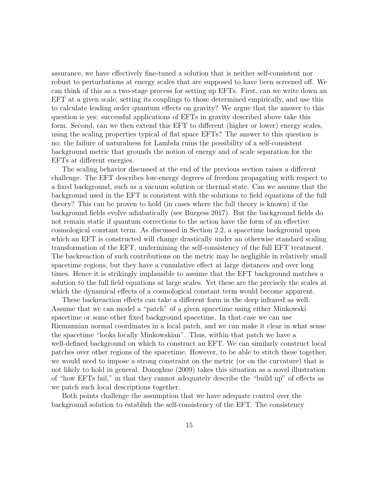assurance, we have effectively fine-tuned a solution that is neither self-consistent nor robust to perturbations at energy scales that are supposed to have been screened off. We can think of this as a two-stage process for setting up EFTs. First, can we write down an EFT at a given scale, setting its couplings to those determined empirically, and use this to calculate leading order quantum effects on gravity? We argue that the answer to this question is yes: successful applications of EFTs in gravity described above take this form. Second, can we then extend this EFT to different (higher or lower) energy scales, using the scaling properties typical of flat space EFTs? The answer to this question is no: the failure of naturalness for Lambda ruins the possibility of a self-consistent background metric that grounds the notion of energy and of scale separation for the EFTs at different energies.

The scaling behavior discussed at the end of the previous section raises a different challenge. The EFT describes low-energy degrees of freedom propagating with respect to a fixed background, such as a vacuum solution or thermal state. Can we assume that the background used in the EFT is consistent with the solutions to field equations of the full theory? This can be proven to hold (in cases where the full theory is known) if the background fields evolve adiabatically (see Burgess 2017). But the background fields do not remain static if quantum corrections to the action have the form of an effective cosmological constant term. As discussed in Section 2.2, a spacetime background upon which an EFT is constructed will change drastically under an otherwise standard scaling transformation of the EFT, undermining the self-consistency of the full EFT treatment. The backreaction of such contributions on the metric may be negligible in relatively small spacetime regions, but they have a cumulative effect at large distances and over long times. Hence it is strikingly implausible to assume that the EFT background matches a solution to the full field equations at large scales. Yet these are the precisely the scales at which the dynamical effects of a cosmological constant term would become apparent.

These backreaction effects can take a different form in the deep infrared as well. Assume that we can model a "patch" of a given spacetime using either Minkowski spacetime or some other fixed background spacetime. In that case we can use Riemannian normal coordinates in a local patch, and we can make it clear in what sense the spacetime "looks locally Minkowskian". Thus, within that patch we have a well-defined background on which to construct an EFT. We can similarly construct local patches over other regions of the spacetime. However, to be able to stitch these together, we would need to impose a strong constraint on the metric (or on the curvature) that is not likely to hold in general. Donoghue (2009) takes this situation as a novel illustration of "how EFTs fail," in that they cannot adequately describe the "build up" of effects as we patch such local descriptions together.

Both points challenge the assumption that we have adequate control over the background solution to establish the self-consistency of the EFT. The consistency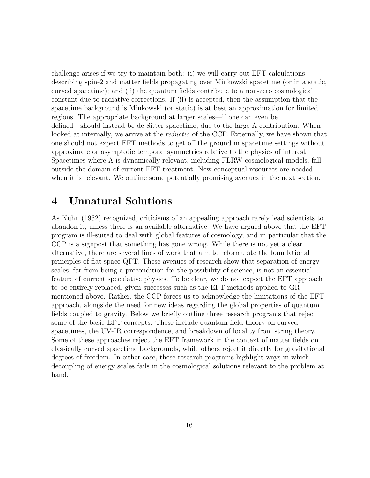challenge arises if we try to maintain both: (i) we will carry out EFT calculations describing spin-2 and matter fields propagating over Minkowski spacetime (or in a static, curved spacetime); and (ii) the quantum fields contribute to a non-zero cosmological constant due to radiative corrections. If (ii) is accepted, then the assumption that the spacetime background is Minkowski (or static) is at best an approximation for limited regions. The appropriate background at larger scales—if one can even be defined—should instead be de Sitter spacetime, due to the large  $\Lambda$  contribution. When looked at internally, we arrive at the reductio of the CCP. Externally, we have shown that one should not expect EFT methods to get off the ground in spacetime settings without approximate or asymptotic temporal symmetries relative to the physics of interest. Spacetimes where  $\Lambda$  is dynamically relevant, including FLRW cosmological models, fall outside the domain of current EFT treatment. New conceptual resources are needed when it is relevant. We outline some potentially promising avenues in the next section.

### 4 Unnatural Solutions

As Kuhn (1962) recognized, criticisms of an appealing approach rarely lead scientists to abandon it, unless there is an available alternative. We have argued above that the EFT program is ill-suited to deal with global features of cosmology, and in particular that the CCP is a signpost that something has gone wrong. While there is not yet a clear alternative, there are several lines of work that aim to reformulate the foundational principles of flat-space QFT. These avenues of research show that separation of energy scales, far from being a precondition for the possibility of science, is not an essential feature of current speculative physics. To be clear, we do not expect the EFT approach to be entirely replaced, given successes such as the EFT methods applied to GR mentioned above. Rather, the CCP forces us to acknowledge the limitations of the EFT approach, alongside the need for new ideas regarding the global properties of quantum fields coupled to gravity. Below we briefly outline three research programs that reject some of the basic EFT concepts. These include quantum field theory on curved spacetimes, the UV-IR correspondence, and breakdown of locality from string theory. Some of these approaches reject the EFT framework in the context of matter fields on classically curved spacetime backgrounds, while others reject it directly for gravitational degrees of freedom. In either case, these research programs highlight ways in which decoupling of energy scales fails in the cosmological solutions relevant to the problem at hand.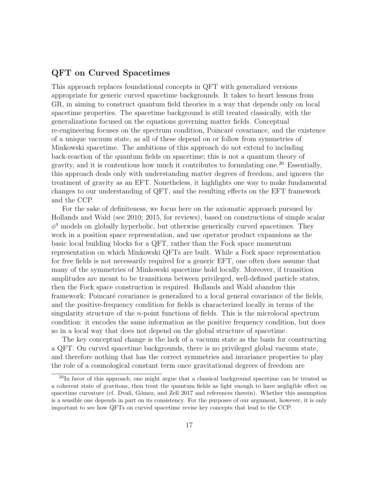#### QFT on Curved Spacetimes

This approach replaces foundational concepts in QFT with generalized versions appropriate for generic curved spacetime backgrounds. It takes to heart lessons from GR, in aiming to construct quantum field theories in a way that depends only on local spacetime properties. The spacetime background is still treated classically, with the generalizations focused on the equations governing matter fields. Conceptual re-engineering focuses on the spectrum condition, Poincaré covariance, and the existence of a unique vacuum state, as all of these depend on or follow from symmetries of Minkowski spacetime. The ambitions of this approach do not extend to including back-reaction of the quantum fields on spacetime; this is not a quantum theory of gravity, and it is contentious how much it contributes to formulating one.<sup>20</sup> Essentially, this approach deals only with understanding matter degrees of freedom, and ignores the treatment of gravity as an EFT. Nonetheless, it highlights one way to make fundamental changes to our understanding of QFT, and the resulting effects on the EFT framework and the CCP.

For the sake of definiteness, we focus here on the axiomatic approach pursued by Hollands and Wald (see 2010; 2015, for reviews), based on constructions of simple scalar  $\phi^4$  models on globally hyperbolic, but otherwise generically curved spacetimes. They work in a position space representation, and use operator product expansions as the basic local building blocks for a QFT, rather than the Fock space momentum representation on which Minkowski QFTs are built. While a Fock space representation for free fields is not necessarily required for a generic EFT, one often does assume that many of the symmetries of Minkowski spacetime hold locally. Moreover, if transition amplitudes are meant to be transitions between privileged, well-defined particle states, then the Fock space construction is required. Hollands and Wald abandon this framework: Poincaré covariance is generalized to a local general covariance of the fields, and the positive-frequency condition for fields is characterized locally in terms of the singularity structure of the n-point functions of fields. This is the microlocal spectrum condition: it encodes the same information as the positive frequency condition, but does so in a local way that does not depend on the global structure of spacetime.

The key conceptual change is the lack of a vacuum state as the basis for constructing a QFT. On curved spacetime backgrounds, there is no privileged global vacuum state, and therefore nothing that has the correct symmetries and invariance properties to play the role of a cosmological constant term once gravitational degrees of freedom are

 $^{20}$ In favor of this approach, one might argue that a classical background spacetime can be treated as a coherent state of gravitons, then treat the quantum fields as light enough to have negligible effect on spacetime curvature (cf. Dvali, Gómez, and Zell 2017 and references therein). Whether this assumption is a sensible one depends in part on its consistency. For the purposes of our argument, however, it is only important to see how QFTs on curved spacetime revise key concepts that lead to the CCP.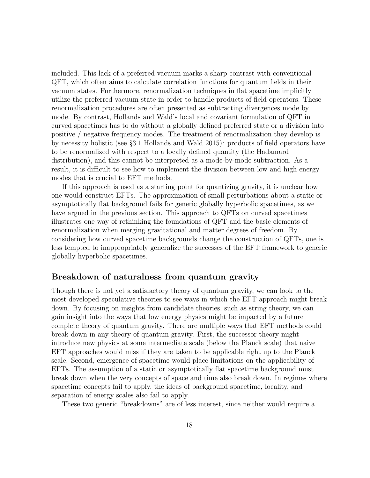included. This lack of a preferred vacuum marks a sharp contrast with conventional QFT, which often aims to calculate correlation functions for quantum fields in their vacuum states. Furthermore, renormalization techniques in flat spacetime implicitly utilize the preferred vacuum state in order to handle products of field operators. These renormalization procedures are often presented as subtracting divergences mode by mode. By contrast, Hollands and Wald's local and covariant formulation of QFT in curved spacetimes has to do without a globally defined preferred state or a division into positive / negative frequency modes. The treatment of renormalization they develop is by necessity holistic (see §3.1 Hollands and Wald 2015): products of field operators have to be renormalized with respect to a locally defined quantity (the Hadamard distribution), and this cannot be interpreted as a mode-by-mode subtraction. As a result, it is difficult to see how to implement the division between low and high energy modes that is crucial to EFT methods.

If this approach is used as a starting point for quantizing gravity, it is unclear how one would construct EFTs. The approximation of small perturbations about a static or asymptotically flat background fails for generic globally hyperbolic spacetimes, as we have argued in the previous section. This approach to QFTs on curved spacetimes illustrates one way of rethinking the foundations of QFT and the basic elements of renormalization when merging gravitational and matter degrees of freedom. By considering how curved spacetime backgrounds change the construction of QFTs, one is less tempted to inappropriately generalize the successes of the EFT framework to generic globally hyperbolic spacetimes.

#### Breakdown of naturalness from quantum gravity

Though there is not yet a satisfactory theory of quantum gravity, we can look to the most developed speculative theories to see ways in which the EFT approach might break down. By focusing on insights from candidate theories, such as string theory, we can gain insight into the ways that low energy physics might be impacted by a future complete theory of quantum gravity. There are multiple ways that EFT methods could break down in any theory of quantum gravity. First, the successor theory might introduce new physics at some intermediate scale (below the Planck scale) that naive EFT approaches would miss if they are taken to be applicable right up to the Planck scale. Second, emergence of spacetime would place limitations on the applicability of EFTs. The assumption of a static or asymptotically flat spacetime background must break down when the very concepts of space and time also break down. In regimes where spacetime concepts fail to apply, the ideas of background spacetime, locality, and separation of energy scales also fail to apply.

These two generic "breakdowns" are of less interest, since neither would require a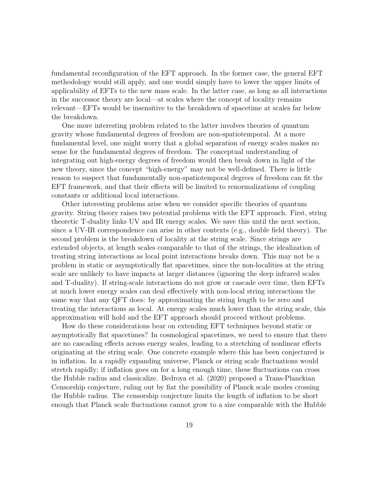fundamental reconfiguration of the EFT approach. In the former case, the general EFT methodology would still apply, and one would simply have to lower the upper limits of applicability of EFTs to the new mass scale. In the latter case, as long as all interactions in the successor theory are local—at scales where the concept of locality remains relevant—EFTs would be insensitive to the breakdown of spacetime at scales far below the breakdown.

One more interesting problem related to the latter involves theories of quantum gravity whose fundamental degrees of freedom are non-spatiotemporal. At a more fundamental level, one might worry that a global separation of energy scales makes no sense for the fundamental degrees of freedom. The conceptual understanding of integrating out high-energy degrees of freedom would then break down in light of the new theory, since the concept "high-energy" may not be well-defined. There is little reason to suspect that fundamentally non-spatiotemporal degrees of freedom can fit the EFT framework, and that their effects will be limited to renormalizations of coupling constants or additional local interactions.

Other interesting problems arise when we consider specific theories of quantum gravity. String theory raises two potential problems with the EFT approach. First, string theoretic T-duality links UV and IR energy scales. We save this until the next section, since a UV-IR correspondence can arise in other contexts (e.g., double field theory). The second problem is the breakdown of locality at the string scale. Since strings are extended objects, at length scales comparable to that of the strings, the idealization of treating string interactions as local point interactions breaks down. This may not be a problem in static or asymptotically flat spacetimes, since the non-localities at the string scale are unlikely to have impacts at larger distances (ignoring the deep infrared scales and T-duality). If string-scale interactions do not grow or cascade over time, then EFTs at much lower energy scales can deal effectively with non-local string interactions the same way that any QFT does: by approximating the string length to be zero and treating the interactions as local. At energy scales much lower than the string scale, this approximation will hold and the EFT approach should proceed without problems.

How do these considerations bear on extending EFT techniques beyond static or asymptotically flat spacetimes? In cosmological spacetimes, we need to ensure that there are no cascading effects across energy scales, leading to a stretching of nonlinear effects originating at the string scale. One concrete example where this has been conjectured is in inflation. In a rapidly expanding universe, Planck or string scale fluctuations would stretch rapidly; if inflation goes on for a long enough time, these fluctuations can cross the Hubble radius and classicalize. Bedroya et al. (2020) proposed a Trans-Planckian Censorship conjecture, ruling out by fiat the possibility of Planck scale modes crossing the Hubble radius. The censorship conjecture limits the length of inflation to be short enough that Planck scale fluctuations cannot grow to a size comparable with the Hubble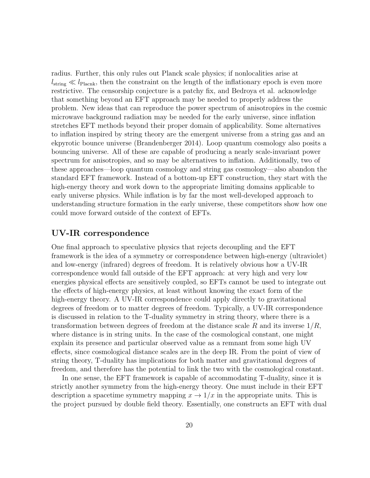radius. Further, this only rules out Planck scale physics; if nonlocalities arise at  $l_{\text{string}} \ll l_{\text{Planck}}$ , then the constraint on the length of the inflationary epoch is even more restrictive. The censorship conjecture is a patchy fix, and Bedroya et al. acknowledge that something beyond an EFT approach may be needed to properly address the problem. New ideas that can reproduce the power spectrum of anisotropies in the cosmic microwave background radiation may be needed for the early universe, since inflation stretches EFT methods beyond their proper domain of applicability. Some alternatives to inflation inspired by string theory are the emergent universe from a string gas and an ekpyrotic bounce universe (Brandenberger 2014). Loop quantum cosmology also posits a bouncing universe. All of these are capable of producing a nearly scale-invariant power spectrum for anisotropies, and so may be alternatives to inflation. Additionally, two of these approaches—loop quantum cosmology and string gas cosmology—also abandon the standard EFT framework. Instead of a bottom-up EFT construction, they start with the high-energy theory and work down to the appropriate limiting domains applicable to early universe physics. While inflation is by far the most well-developed approach to understanding structure formation in the early universe, these competitors show how one could move forward outside of the context of EFTs.

#### UV-IR correspondence

One final approach to speculative physics that rejects decoupling and the EFT framework is the idea of a symmetry or correspondence between high-energy (ultraviolet) and low-energy (infrared) degrees of freedom. It is relatively obvious how a UV-IR correspondence would fall outside of the EFT approach: at very high and very low energies physical effects are sensitively coupled, so EFTs cannot be used to integrate out the effects of high-energy physics, at least without knowing the exact form of the high-energy theory. A UV-IR correspondence could apply directly to gravitational degrees of freedom or to matter degrees of freedom. Typically, a UV-IR correspondence is discussed in relation to the T-duality symmetry in string theory, where there is a transformation between degrees of freedom at the distance scale R and its inverse  $1/R$ , where distance is in string units. In the case of the cosmological constant, one might explain its presence and particular observed value as a remnant from some high UV effects, since cosmological distance scales are in the deep IR. From the point of view of string theory, T-duality has implications for both matter and gravitational degrees of freedom, and therefore has the potential to link the two with the cosmological constant.

In one sense, the EFT framework is capable of accommodating T-duality, since it is strictly another symmetry from the high-energy theory. One must include in their EFT description a spacetime symmetry mapping  $x \to 1/x$  in the appropriate units. This is the project pursued by double field theory. Essentially, one constructs an EFT with dual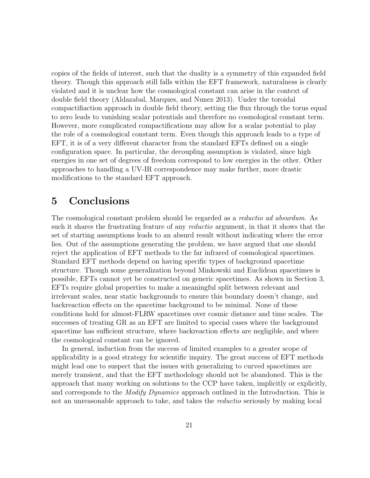copies of the fields of interest, such that the duality is a symmetry of this expanded field theory. Though this approach still falls within the EFT framework, naturalness is clearly violated and it is unclear how the cosmological constant can arise in the context of double field theory (Aldazabal, Marques, and Nunez 2013). Under the toroidal compactifiaction approach in double field theory, setting the flux through the torus equal to zero leads to vanishing scalar potentials and therefore no cosmological constant term. However, more complicated compactifications may allow for a scalar potential to play the role of a cosmological constant term. Even though this approach leads to a type of EFT, it is of a very different character from the standard EFTs defined on a single configuration space. In particular, the decoupling assumption is violated, since high energies in one set of degrees of freedom correspond to low energies in the other. Other approaches to handling a UV-IR correspondence may make further, more drastic modifications to the standard EFT approach.

## 5 Conclusions

The cosmological constant problem should be regarded as a reductio ad absurdum. As such it shares the frustrating feature of any reductio argument, in that it shows that the set of starting assumptions leads to an absurd result without indicating where the error lies. Out of the assumptions generating the problem, we have argued that one should reject the application of EFT methods to the far infrared of cosmological spacetimes. Standard EFT methods depend on having specific types of background spacetime structure. Though some generalization beyond Minkowski and Euclidean spacetimes is possible, EFTs cannot yet be constructed on generic spacetimes. As shown in Section 3, EFTs require global properties to make a meaningful split between relevant and irrelevant scales, near static backgrounds to ensure this boundary doesn't change, and backreaction effects on the spacetime background to be minimal. None of these conditions hold for almost-FLRW spacetimes over cosmic distance and time scales. The successes of treating GR as an EFT are limited to special cases where the background spacetime has sufficient structure, where backreaction effects are negligible, and where the cosmological constant can be ignored.

In general, induction from the success of limited examples to a greater scope of applicability is a good strategy for scientific inquiry. The great success of EFT methods might lead one to suspect that the issues with generalizing to curved spacetimes are merely transient, and that the EFT methodology should not be abandoned. This is the approach that many working on solutions to the CCP have taken, implicitly or explicitly, and corresponds to the *Modify Dynamics* approach outlined in the Introduction. This is not an unreasonable approach to take, and takes the *reductio* seriously by making local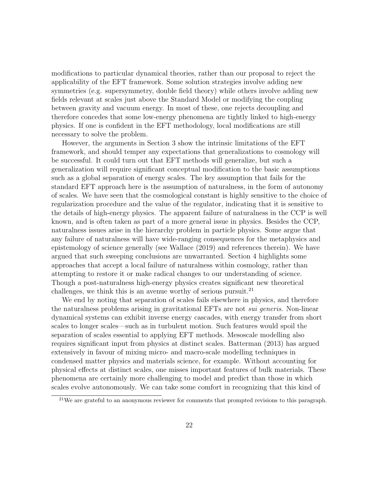modifications to particular dynamical theories, rather than our proposal to reject the applicability of the EFT framework. Some solution strategies involve adding new symmetries (e.g. supersymmetry, double field theory) while others involve adding new fields relevant at scales just above the Standard Model or modifying the coupling between gravity and vacuum energy. In most of these, one rejects decoupling and therefore concedes that some low-energy phenomena are tightly linked to high-energy physics. If one is confident in the EFT methodology, local modifications are still necessary to solve the problem.

However, the arguments in Section 3 show the intrinsic limitations of the EFT framework, and should temper any expectations that generalizations to cosmology will be successful. It could turn out that EFT methods will generalize, but such a generalization will require significant conceptual modification to the basic assumptions such as a global separation of energy scales. The key assumption that fails for the standard EFT approach here is the assumption of naturalness, in the form of autonomy of scales. We have seen that the cosmological constant is highly sensitive to the choice of regularization procedure and the value of the regulator, indicating that it is sensitive to the details of high-energy physics. The apparent failure of naturalness in the CCP is well known, and is often taken as part of a more general issue in physics. Besides the CCP, naturalness issues arise in the hierarchy problem in particle physics. Some argue that any failure of naturalness will have wide-ranging consequences for the metaphysics and epistemology of science generally (see Wallace (2019) and references therein). We have argued that such sweeping conclusions are unwarranted. Section 4 highlights some approaches that accept a local failure of naturalness within cosmology, rather than attempting to restore it or make radical changes to our understanding of science. Though a post-naturalness high-energy physics creates significant new theoretical challenges, we think this is an avenue worthy of serious pursuit.<sup>21</sup>

We end by noting that separation of scales fails elsewhere in physics, and therefore the naturalness problems arising in gravitational EFTs are not *sui generis*. Non-linear dynamical systems can exhibit inverse energy cascades, with energy transfer from short scales to longer scales—such as in turbulent motion. Such features would spoil the separation of scales essential to applying EFT methods. Mesoscale modelling also requires significant input from physics at distinct scales. Batterman (2013) has argued extensively in favour of mixing micro- and macro-scale modelling techniques in condensed matter physics and materials science, for example. Without accounting for physical effects at distinct scales, one misses important features of bulk materials. These phenomena are certainly more challenging to model and predict than those in which scales evolve autonomously. We can take some comfort in recognizing that this kind of

<sup>&</sup>lt;sup>21</sup>We are grateful to an anonymous reviewer for comments that prompted revisions to this paragraph.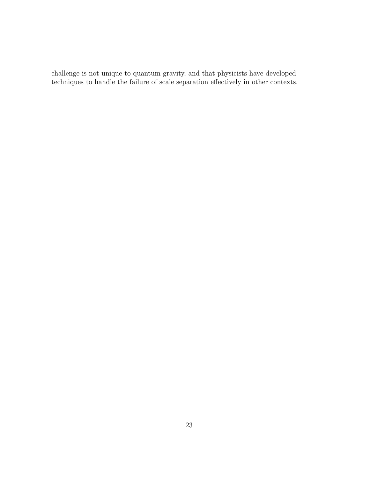challenge is not unique to quantum gravity, and that physicists have developed techniques to handle the failure of scale separation effectively in other contexts.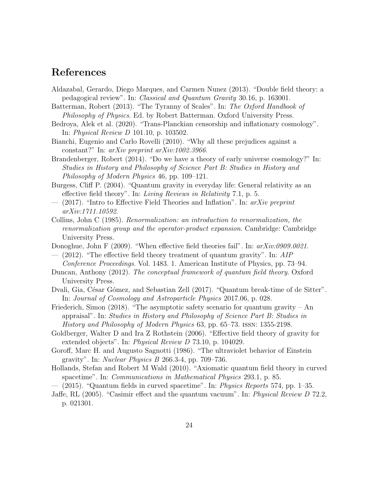## References

- Aldazabal, Gerardo, Diego Marques, and Carmen Nunez (2013). "Double field theory: a pedagogical review". In: Classical and Quantum Gravity 30.16, p. 163001.
- Batterman, Robert (2013). "The Tyranny of Scales". In: The Oxford Handbook of Philosophy of Physics. Ed. by Robert Batterman. Oxford University Press.
- Bedroya, Alek et al. (2020). "Trans-Planckian censorship and inflationary cosmology". In: Physical Review D 101.10, p. 103502.
- Bianchi, Eugenio and Carlo Rovelli (2010). "Why all these prejudices against a constant?" In: arXiv preprint arXiv:1002.3966.
- Brandenberger, Robert (2014). "Do we have a theory of early universe cosmology?" In: Studies in History and Philosophy of Science Part B: Studies in History and Philosophy of Modern Physics 46, pp. 109–121.
- Burgess, Cliff P. (2004). "Quantum gravity in everyday life: General relativity as an effective field theory". In: Living Reviews in Relativity 7.1, p. 5.
- $-$  (2017). "Intro to Effective Field Theories and Inflation". In: arXiv preprint arXiv:1711.10592.
- Collins, John C (1985). Renormalization: an introduction to renormalization, the renormalization group and the operator-product expansion. Cambridge: Cambridge University Press.
- Donoghue, John F (2009). "When effective field theories fail". In:  $arXiv:0909.0021$ .
- $-$  (2012). "The effective field theory treatment of quantum gravity". In: AIP Conference Proceedings. Vol. 1483. 1. American Institute of Physics, pp. 73–94.
- Duncan, Anthony (2012). The conceptual framework of quantum field theory. Oxford University Press.
- Dvali, Gia, César Gómez, and Sebastian Zell (2017). "Quantum break-time of de Sitter". In: Journal of Cosmology and Astroparticle Physics 2017.06, p. 028.
- Friederich, Simon (2018). "The asymptotic safety scenario for quantum gravity An appraisal". In: Studies in History and Philosophy of Science Part B: Studies in History and Philosophy of Modern Physics 63, pp. 65–73. issn: 1355-2198.
- Goldberger, Walter D and Ira Z Rothstein (2006). "Effective field theory of gravity for extended objects". In: *Physical Review D* 73.10, p. 104029.
- Goroff, Marc H. and Augusto Sagnotti (1986). "The ultraviolet behavior of Einstein gravity". In: Nuclear Physics B 266.3-4, pp. 709–736.
- Hollands, Stefan and Robert M Wald (2010). "Axiomatic quantum field theory in curved spacetime". In: Communications in Mathematical Physics 293.1, p. 85.
- $(2015)$ . "Quantum fields in curved spacetime". In: *Physics Reports* 574, pp. 1–35.
- Jaffe, RL (2005). "Casimir effect and the quantum vacuum". In: Physical Review D 72.2, p. 021301.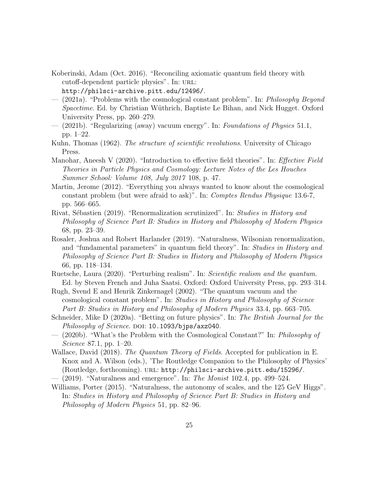- Koberinski, Adam (Oct. 2016). "Reconciling axiomatic quantum field theory with cutoff-dependent particle physics". In: URL: http://philsci-archive.pitt.edu/12496/.
- (2021a). "Problems with the cosmological constant problem". In: Philosophy Beyond Spacetime. Ed. by Christian Wüthrich, Baptiste Le Bihan, and Nick Hugget. Oxford University Press, pp. 260–279.
- $-$  (2021b). "Regularizing (away) vacuum energy". In: Foundations of Physics 51.1, pp. 1–22.
- Kuhn, Thomas (1962). The structure of scientific revolutions. University of Chicago Press.
- Manohar, Aneesh V (2020). "Introduction to effective field theories". In: *Effective Field* Theories in Particle Physics and Cosmology: Lecture Notes of the Les Houches Summer School: Volume 108, July 2017 108, p. 47.
- Martin, Jerome (2012). "Everything you always wanted to know about the cosmological constant problem (but were afraid to ask)". In: Comptes Rendus Physique 13.6-7, pp. 566–665.
- Rivat, Sébastien (2019). "Renormalization scrutinized". In: Studies in History and Philosophy of Science Part B: Studies in History and Philosophy of Modern Physics 68, pp. 23–39.
- Rosaler, Joshua and Robert Harlander (2019). "Naturalness, Wilsonian renormalization, and "fundamental parameters" in quantum field theory". In: Studies in History and Philosophy of Science Part B: Studies in History and Philosophy of Modern Physics 66, pp. 118–134.
- Ruetsche, Laura (2020). "Perturbing realism". In: Scientific realism and the quantum. Ed. by Steven French and Juha Saatsi. Oxford: Oxford University Press, pp. 293–314.
- Rugh, Svend E and Henrik Zinkernagel (2002). "The quantum vacuum and the cosmological constant problem". In: Studies in History and Philosophy of Science Part B: Studies in History and Philosophy of Modern Physics 33.4, pp. 663–705.
- Schneider, Mike D (2020a). "Betting on future physics". In: The British Journal for the Philosophy of Science. DOI: 10.1093/bjps/axz040.
- (2020b). "What's the Problem with the Cosmological Constant?" In: Philosophy of Science 87.1, pp. 1–20.
- Wallace, David (2018). The Quantum Theory of Fields. Accepted for publication in E. Knox and A. Wilson (eds.), 'The Routledge Companion to the Philosophy of Physics' (Routledge, forthcoming). url: http://philsci-archive.pitt.edu/15296/.
- $-$  (2019). "Naturalness and emergence". In: The Monist 102.4, pp. 499–524.
- Williams, Porter (2015). "Naturalness, the autonomy of scales, and the 125 GeV Higgs". In: Studies in History and Philosophy of Science Part B: Studies in History and Philosophy of Modern Physics 51, pp. 82–96.